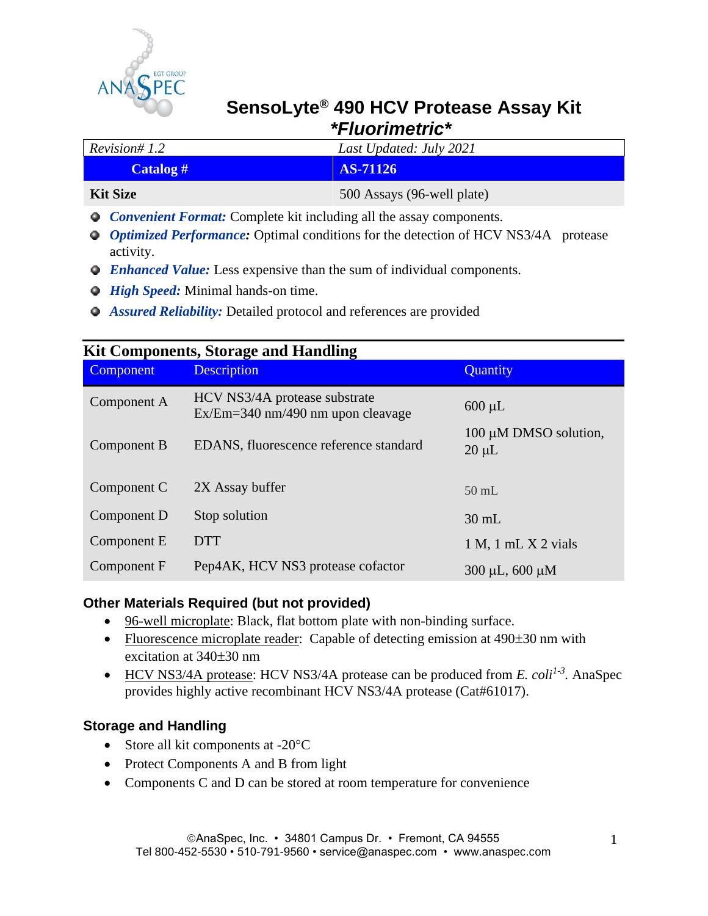

# **SensoLyte® 490 HCV Protease Assay Kit**   *\*Fluorimetric\**

| Revision# 1.2                                                                                                                                                                                                                                                                                                                                                 | Last Updated: July 2021    |  |
|---------------------------------------------------------------------------------------------------------------------------------------------------------------------------------------------------------------------------------------------------------------------------------------------------------------------------------------------------------------|----------------------------|--|
| Catalog #                                                                                                                                                                                                                                                                                                                                                     | <b>AS-71126</b>            |  |
| <b>Kit Size</b>                                                                                                                                                                                                                                                                                                                                               | 500 Assays (96-well plate) |  |
| $\alpha$ , $\alpha$ , $\alpha$ , $\alpha$ , $\alpha$ , $\alpha$ , $\alpha$ , $\alpha$ , $\alpha$ , $\alpha$ , $\alpha$ , $\alpha$ , $\alpha$ , $\alpha$ , $\alpha$ , $\alpha$ , $\alpha$ , $\alpha$ , $\alpha$ , $\alpha$ , $\alpha$ , $\alpha$ , $\alpha$ , $\alpha$ , $\alpha$ , $\alpha$ , $\alpha$ , $\alpha$ , $\alpha$ , $\alpha$ , $\alpha$ , $\alpha$ |                            |  |

- *Convenient Format:* Complete kit including all the assay components.
- *Optimized Performance:* Optimal conditions for the detection of HCV NS3/4A protease activity.
- *Enhanced Value:* Less expensive than the sum of individual components.
- *O* High Speed: Minimal hands-on time.
- *Assured Reliability:* Detailed protocol and references are provided

| <b>Kit Components, Storage and Handling</b> |                                                                      |                                     |  |
|---------------------------------------------|----------------------------------------------------------------------|-------------------------------------|--|
| Component                                   | <b>Description</b>                                                   | Quantity                            |  |
| Component A                                 | HCV NS3/4A protease substrate<br>$Ex/Em=340$ nm/490 nm upon cleavage | $600 \mu L$                         |  |
| Component B                                 | EDANS, fluorescence reference standard                               | 100 μM DMSO solution,<br>$20 \mu L$ |  |
| Component C                                 | 2X Assay buffer                                                      | $50$ mL                             |  |
| Component D                                 | Stop solution                                                        | $30 \text{ mL}$                     |  |
| Component E                                 | <b>DTT</b>                                                           | $1 M$ , $1 mL X 2 vials$            |  |
| Component F                                 | Pep4AK, HCV NS3 protease cofactor                                    | $300 \mu L, 600 \mu M$              |  |

## **Other Materials Required (but not provided)**

- 96-well microplate: Black, flat bottom plate with non-binding surface.
- Fluorescence microplate reader: Capable of detecting emission at  $490\pm30$  nm with excitation at  $340\pm30$  nm
- HCV NS3/4A protease: HCV NS3/4A protease can be produced from *E. coli<sup>1-3</sup>*. AnaSpec provides highly active recombinant HCV NS3/4A protease (Cat#61017).

## **Storage and Handling**

- Store all kit components at  $-20^{\circ}$ C
- Protect Components A and B from light
- Components C and D can be stored at room temperature for convenience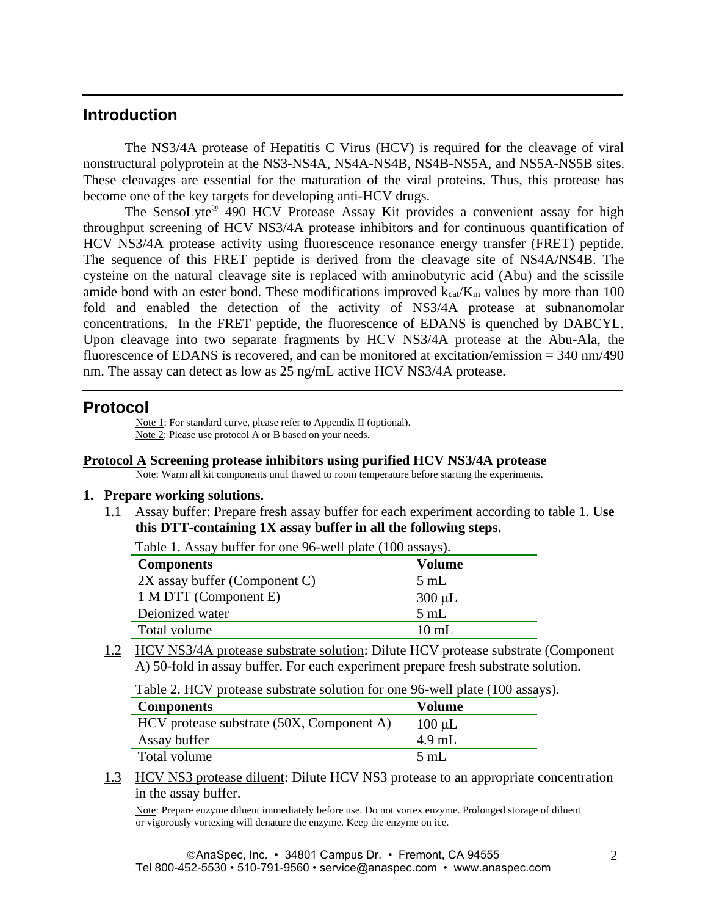# **Introduction**

The NS3/4A protease of Hepatitis C Virus (HCV) is required for the cleavage of viral nonstructural polyprotein at the NS3-NS4A, NS4A-NS4B, NS4B-NS5A, and NS5A-NS5B sites. These cleavages are essential for the maturation of the viral proteins. Thus, this protease has become one of the key targets for developing anti-HCV drugs.

The SensoLyte® 490 HCV Protease Assay Kit provides a convenient assay for high throughput screening of HCV NS3/4A protease inhibitors and for continuous quantification of HCV NS3/4A protease activity using fluorescence resonance energy transfer (FRET) peptide. The sequence of this FRET peptide is derived from the cleavage site of NS4A/NS4B. The cysteine on the natural cleavage site is replaced with aminobutyric acid (Abu) and the scissile amide bond with an ester bond. These modifications improved  $k_{ca} / K_m$  values by more than 100 fold and enabled the detection of the activity of NS3/4A protease at subnanomolar concentrations. In the FRET peptide, the fluorescence of EDANS is quenched by DABCYL. Upon cleavage into two separate fragments by HCV NS3/4A protease at the Abu-Ala, the fluorescence of EDANS is recovered, and can be monitored at excitation/emission = 340 nm/490 nm. The assay can detect as low as 25 ng/mL active HCV NS3/4A protease.

## **Protocol**

Note 1: For standard curve, please refer to Appendix II (optional). Note 2: Please use protocol A or B based on your needs.

#### **Protocol A Screening protease inhibitors using purified HCV NS3/4A protease**

Note: Warm all kit components until thawed to room temperature before starting the experiments.

#### **1. Prepare working solutions.**

1.1 Assay buffer: Prepare fresh assay buffer for each experiment according to table 1. **Use this DTT-containing 1X assay buffer in all the following steps.**

**Components Volume**  $2X$  assay buffer (Component C)  $5 \text{ mL}$ 1 M DTT (Component E) 300 µL Deionized water 5 mL

Table 1. Assay buffer for one 96-well plate (100 assays).

Total volume 10 mL

1.2 HCV NS3/4A protease substrate solution: Dilute HCV protease substrate (Component A) 50-fold in assay buffer. For each experiment prepare fresh substrate solution.

Table 2. HCV protease substrate solution for one 96-well plate (100 assays).

| <b>Components</b>                         | Volume         |
|-------------------------------------------|----------------|
| HCV protease substrate (50X, Component A) | $100 \mu L$    |
| Assay buffer                              | $4.9$ mL       |
| Total volume                              | $5 \text{ mL}$ |
|                                           |                |

1.3 HCV NS3 protease diluent: Dilute HCV NS3 protease to an appropriate concentration in the assay buffer.

Note: Prepare enzyme diluent immediately before use. Do not vortex enzyme. Prolonged storage of diluent or vigorously vortexing will denature the enzyme. Keep the enzyme on ice.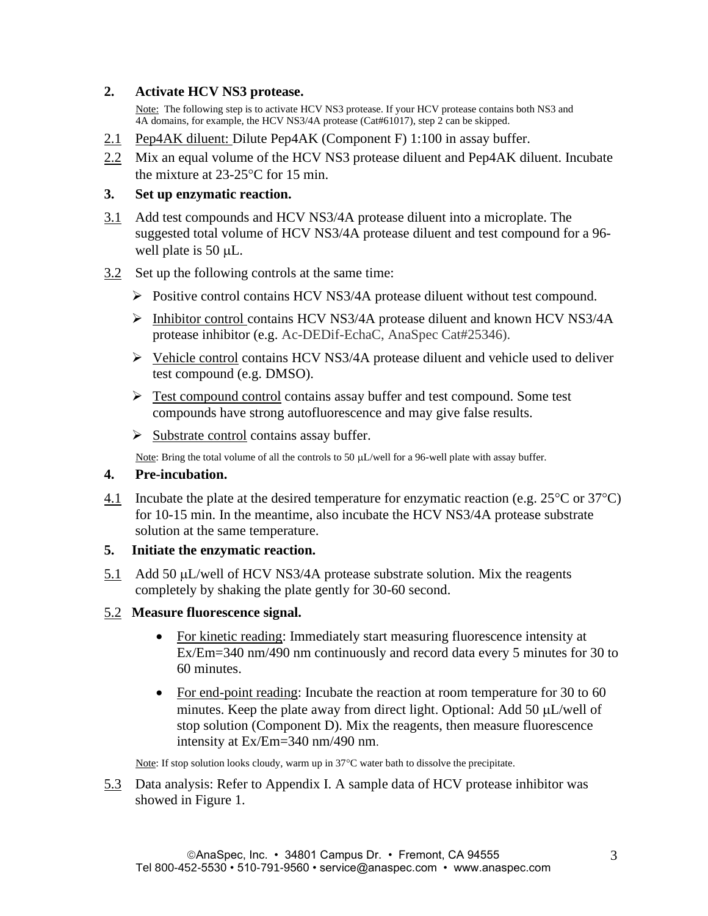## **2. Activate HCV NS3 protease.**

Note: The following step is to activate HCV NS3 protease. If your HCV protease contains both NS3 and 4A domains, for example, the HCV NS3/4A protease (Cat#61017), step 2 can be skipped.

- 2.1 Pep4AK diluent: Dilute Pep4AK (Component F) 1:100 in assay buffer.
- 2.2 Mix an equal volume of the HCV NS3 protease diluent and Pep4AK diluent. Incubate the mixture at  $23-25$ °C for 15 min.

## **3. Set up enzymatic reaction.**

- 3.1 Add test compounds and HCV NS3/4A protease diluent into a microplate. The suggested total volume of HCV NS3/4A protease diluent and test compound for a 96 well plate is 50  $\mu$ L.
- 3.2 Set up the following controls at the same time:
	- ➢ Positive control contains HCV NS3/4A protease diluent without test compound.
	- ➢ Inhibitor control contains HCV NS3/4A protease diluent and known HCV NS3/4A protease inhibitor (e.g. Ac-DEDif-EchaC, AnaSpec Cat#25346).
	- $\triangleright$  Vehicle control contains HCV NS3/4A protease diluent and vehicle used to deliver test compound (e.g. DMSO).
	- $\triangleright$  Test compound control contains assay buffer and test compound. Some test compounds have strong autofluorescence and may give false results.
	- $\triangleright$  Substrate control contains assay buffer.

Note: Bring the total volume of all the controls to 50 µL/well for a 96-well plate with assay buffer.

## **4. Pre-incubation.**

4.1 Incubate the plate at the desired temperature for enzymatic reaction (e.g.  $25^{\circ}$ C or  $37^{\circ}$ C) for 10-15 min. In the meantime, also incubate the HCV NS3/4A protease substrate solution at the same temperature.

#### **5. Initiate the enzymatic reaction.**

5.1 Add 50  $\mu$ L/well of HCV NS3/4A protease substrate solution. Mix the reagents completely by shaking the plate gently for 30-60 second.

#### 5.2 **Measure fluorescence signal.**

- For kinetic reading: Immediately start measuring fluorescence intensity at Ex/Em=340 nm/490 nm continuously and record data every 5 minutes for 30 to 60 minutes.
- For end-point reading: Incubate the reaction at room temperature for 30 to 60 minutes. Keep the plate away from direct light. Optional: Add 50  $\mu$ L/well of stop solution (Component D). Mix the reagents, then measure fluorescence intensity at Ex/Em=340 nm/490 nm.

Note: If stop solution looks cloudy, warm up in 37°C water bath to dissolve the precipitate.

5.3 Data analysis: Refer to Appendix I. A sample data of HCV protease inhibitor was showed in Figure 1.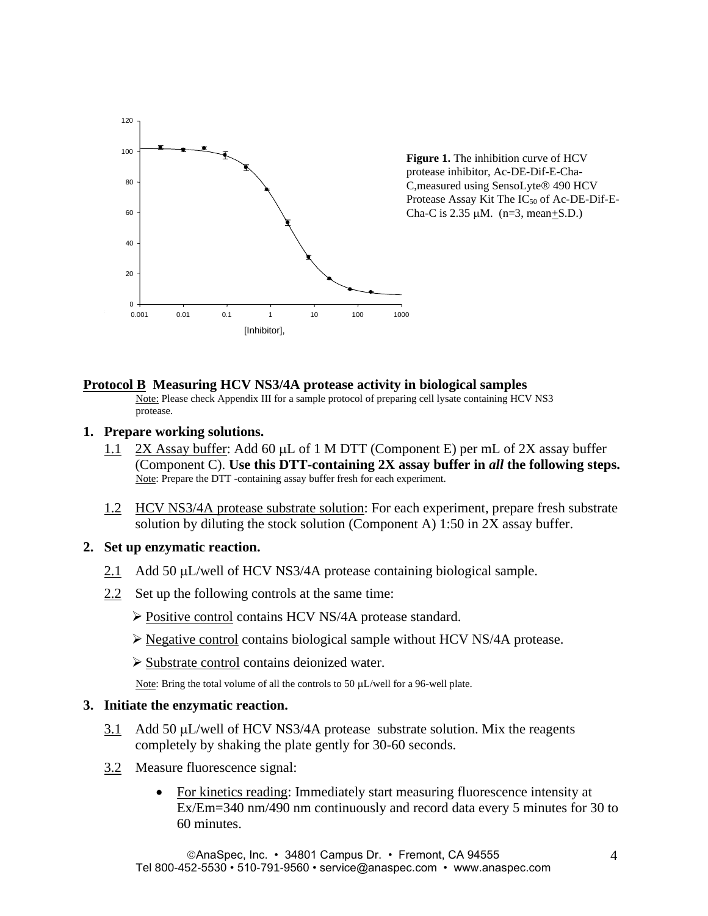

**Figure 1.** The inhibition curve of HCV protease inhibitor, Ac-DE-Dif-E-Cha-C, measured using SensoLyte® 490 HCV Protease Assay Kit The  $IC_{50}$  of Ac-DE-Dif-E-Cha-C is  $2.35 \mu M$ . (n=3, mean+S.D.)

#### **Protocol B Measuring HCV NS3/4A protease activity in biological samples**

Note: Please check Appendix III for a sample protocol of preparing cell lysate containing HCV NS3 protease.

**1. Prepare working solutions.**

Ac

- 1.1 2X Assay buffer: Add 60 µL of 1 M DTT (Component E) per mL of 2X assay buffer (Component C). **Use this DTT-containing 2X assay buffer in** *all* **the following steps.** Note: Prepare the DTT -containing assay buffer fresh for each experiment.
- 1.2 HCV NS3/4A protease substrate solution: For each experiment, prepare fresh substrate solution by diluting the stock solution (Component A) 1:50 in 2X assay buffer.

#### **2. Set up enzymatic reaction.**

- 2.1 Add 50 µL/well of HCV NS3/4A protease containing biological sample.
- 2.2 Set up the following controls at the same time:
	- ➢ Positive control contains HCV NS/4A protease standard.
	- ➢ Negative control contains biological sample without HCV NS/4A protease.
	- ➢ Substrate control contains deionized water.

Note: Bring the total volume of all the controls to 50  $\mu$ L/well for a 96-well plate.

#### **3. Initiate the enzymatic reaction.**

- 3.1 Add 50  $\mu$ L/well of HCV NS3/4A protease substrate solution. Mix the reagents completely by shaking the plate gently for 30-60 seconds.
- 3.2 Measure fluorescence signal:
	- For kinetics reading: Immediately start measuring fluorescence intensity at Ex/Em=340 nm/490 nm continuously and record data every 5 minutes for 30 to 60 minutes.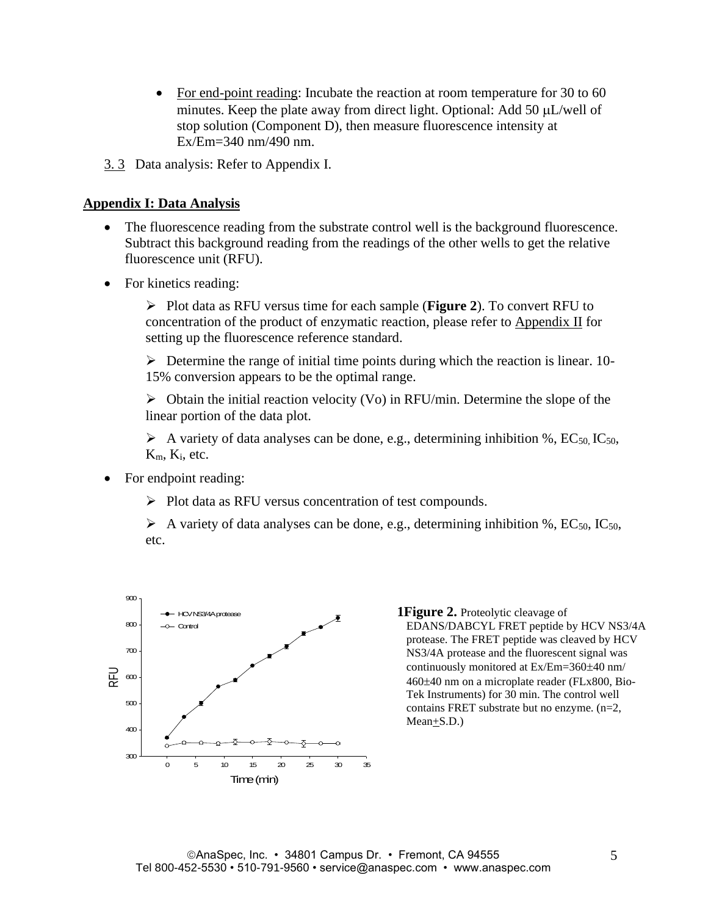- For end-point reading: Incubate the reaction at room temperature for 30 to 60 minutes. Keep the plate away from direct light. Optional: Add 50  $\mu$ L/well of stop solution (Component D), then measure fluorescence intensity at Ex/Em=340 nm/490 nm.
- 3. 3 Data analysis: Refer to Appendix I.

#### **Appendix I: Data Analysis**

- The fluorescence reading from the substrate control well is the background fluorescence. Subtract this background reading from the readings of the other wells to get the relative fluorescence unit (RFU).
- For kinetics reading:

➢ Plot data as RFU versus time for each sample (**Figure 2**). To convert RFU to concentration of the product of enzymatic reaction, please refer to Appendix II for setting up the fluorescence reference standard.

 $\triangleright$  Determine the range of initial time points during which the reaction is linear. 10-15% conversion appears to be the optimal range.

 $\triangleright$  Obtain the initial reaction velocity (Vo) in RFU/min. Determine the slope of the linear portion of the data plot.

 $\triangleright$  A variety of data analyses can be done, e.g., determining inhibition %, EC<sub>50</sub>, IC<sub>50</sub>,  $K_m$ ,  $K_i$ , etc.

- For endpoint reading:
	- ➢ Plot data as RFU versus concentration of test compounds.

 $\triangleright$  A variety of data analyses can be done, e.g., determining inhibition %, EC<sub>50</sub>, IC<sub>50</sub>, etc.



**1Figure 2.** Proteolytic cleavage of EDANS/DABCYL FRET peptide by HCV NS3/4A protease. The FRET peptide was cleaved by HCV NS3/4A protease and the fluorescent signal was continuously monitored at Ex/Em=360±40 nm/ 460 $\pm$ 40 nm on a microplate reader (FLx800, Bio-Tek Instruments) for 30 min. The control well contains FRET substrate but no enzyme. (n=2, Mean+S.D.)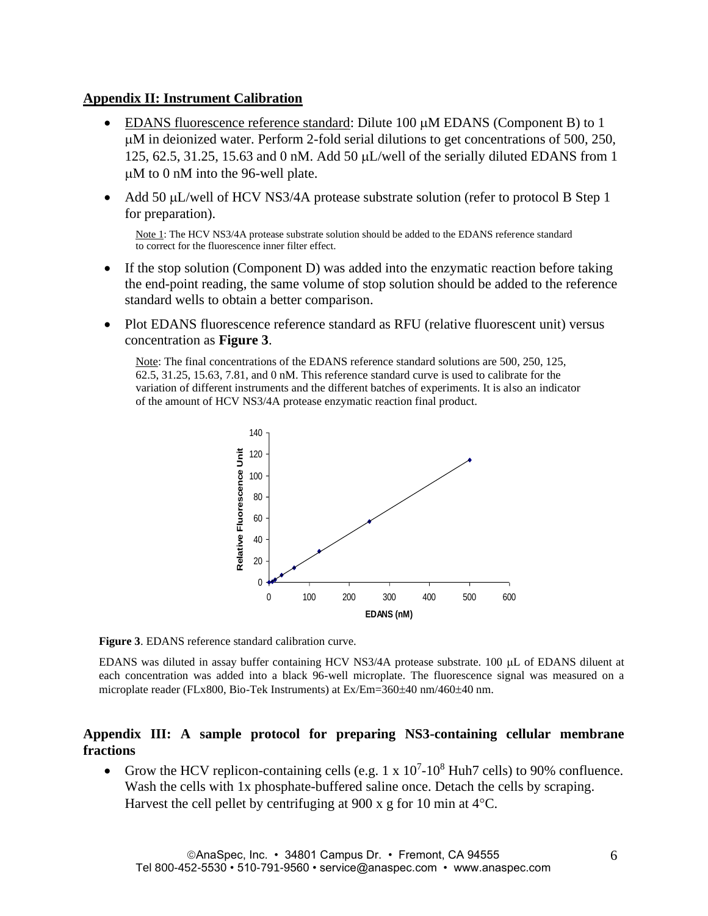## **Appendix II: Instrument Calibration**

- EDANS fluorescence reference standard: Dilute 100  $\mu$ M EDANS (Component B) to 1 M in deionized water. Perform 2-fold serial dilutions to get concentrations of 500, 250, 125, 62.5, 31.25, 15.63 and 0 nM. Add 50  $\mu$ L/well of the serially diluted EDANS from 1 M to 0 nM into the 96-well plate.
- Add 50  $\mu$ L/well of HCV NS3/4A protease substrate solution (refer to protocol B Step 1 for preparation).

Note 1: The HCV NS3/4A protease substrate solution should be added to the EDANS reference standard to correct for the fluorescence inner filter effect.

- If the stop solution (Component D) was added into the enzymatic reaction before taking the end-point reading, the same volume of stop solution should be added to the reference standard wells to obtain a better comparison.
- Plot EDANS fluorescence reference standard as RFU (relative fluorescent unit) versus concentration as **Figure 3**.

Note: The final concentrations of the EDANS reference standard solutions are 500, 250, 125, 62.5, 31.25, 15.63, 7.81, and 0 nM. This reference standard curve is used to calibrate for the variation of different instruments and the different batches of experiments. It is also an indicator of the amount of HCV NS3/4A protease enzymatic reaction final product.





EDANS was diluted in assay buffer containing HCV NS3/4A protease substrate. 100 µL of EDANS diluent at each concentration was added into a black 96-well microplate. The fluorescence signal was measured on a microplate reader (FLx800, Bio-Tek Instruments) at Ex/Em=360±40 nm/460±40 nm.

## **Appendix III: A sample protocol for preparing NS3-containing cellular membrane fractions**

• Grow the HCV replicon-containing cells (e.g.  $1 \times 10^7$ -10<sup>8</sup> Huh7 cells) to 90% confluence. Wash the cells with 1x phosphate-buffered saline once. Detach the cells by scraping. Harvest the cell pellet by centrifuging at 900 x g for 10 min at  $4^{\circ}$ C.